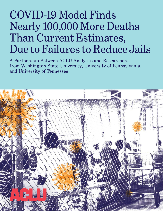# COVID-19 Model Finds Nearly 100,000 More Deaths Than Current Estimates, Due to Failures to Reduce Jails

A Partnership Between ACLU Analytics and Researchers from Washington State University, University of Pennsylvania, and University of Tennessee

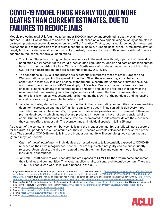# **COVID-19 MODEL FINDS NEARLY 100,000 MORE DEATHS THAN CURRENT ESTIMATES, DUE TO FAILURES TO REDUCE JAILS**

Models projecting total U.S. fatalities to be under 100,000<sup>1</sup> may be underestimating deaths by almost another 100,000 if we continue to operate jails as usual, based on a new epidemiological study completed in partnership between academic researchers and ACLU Analytics. That is, deaths could be double the current projections due to the omission of jails from most public models. Numbers used by the Trump administration largely fail to consider several factors that will explosively increase the loss of life unless drastic reforms are adopted to reduce the nation's jail populations.

- The United States has the highest incarceration rate in the world with only 4 percent of the world's population but 21 percent of the world's incarcerated population<sup>2</sup>. Models and data of infection spread based on other countries like Italy, China, and South Korea will underestimate the loss of life in the U.S., as their incarceration rates are substantially below U.S. levels.
- The conditions in U.S. jails and prisons are substantially inferior to those of other European and Western nations, propelling the spread of infection. Given the overcrowding and substandard conditions in most U.S. jails and prisons, standard public health interventions to "flatten the curve" and prevent the spread of COVID-19 are simply not feasible. Most are unable to allow for six feet of social distancing among incarcerated people and staff, and lack the facilities that allow for the recommended hand washing and cleaning of surfaces. Moreover, the health care available in our nation's jails is chronically substandard, further fueling the growth of the pandemic and increasing mortality rates among those infected while in jail.
- Jails, in particular, also act as vectors for infection in their surrounding communities. Jails are revolving doors for incarceration and face 10.7 million admissions a year<sup>3</sup>. That's an admission every three seconds in America. There are ~737,900 people in jail on any given day, and ~66 percent of them are pretrial detainees<sup>4</sup> – which means they are presumed innocent and have not been convicted of a crime. Hundreds of thousands of people who are incarcerated in jails nationwide are there because they cannot afford to post bail. The average time an individual spends in jail is 25 days<sup>5</sup>.

As a result of the constant movement between jails and the broader community, our jails will act as vectors for the COVID-19 pandemic in our communities. They will become veritable volcanoes for the spread of the virus. The spread of COVID-19 from jails into the broader community will occur along two vectors that are ignored in typical models:

- 1. *Churn of the jail population —* individuals are arrested, sent to jail, potentially exposed to COVID-19, released on their own recognizance, post bail, or are adjudicated not guilty and are subsequently released. Upon release, the virus will spread through their families and communities unless the individual is quarantined.
- 2. *Jail staff —* staff come to work each day and are exposed to COVID-19, then return home and infect their families and communities. This vector applies to jails, prisons, and detention centers. There are  $\sim$  420,000 people who work in jails and prisons in the U.S. $\text{6}$ .



<sup>1</sup> Projections by the Trump administration put potential U.S. deaths at 100,000 on the lower end ([https://www.washingtonpost.com/politics/trump](https://www.washingtonpost.com/politics/trump-white-house-projects-up-to-240000-coronavirus-deaths-in-us-even-with-mitigation-efforts/2020/03/31/62df5344-7367-11ea-87da-77a8136c1a6d_story.html)[white-house-projects-up-to-240000-coronavirus-deaths-in-us-even-with-mitigation-efforts/2020/03/31/62df5344-7367-11ea-87da-77a8136c1a6d\\_](https://www.washingtonpost.com/politics/trump-white-house-projects-up-to-240000-coronavirus-deaths-in-us-even-with-mitigation-efforts/2020/03/31/62df5344-7367-11ea-87da-77a8136c1a6d_story.html) [story.html](https://www.washingtonpost.com/politics/trump-white-house-projects-up-to-240000-coronavirus-deaths-in-us-even-with-mitigation-efforts/2020/03/31/62df5344-7367-11ea-87da-77a8136c1a6d_story.html)). In recent days, the Trump administration has moved to an optimistic estimate of deaths "substantially under" 100,000 [\(https://www.](https://www.cnbc.com/2020/04/10/trump-says-us-will-have-substantially-under-100000-deaths-from-coronavirus-lower-than-initial-estimates.html) [cnbc.com/2020/04/10/trump-says-us-will-have-substantially-under-100000-deaths-from-coronavirus-lower-than-initial-estimates.html\)](https://www.cnbc.com/2020/04/10/trump-says-us-will-have-substantially-under-100000-deaths-from-coronavirus-lower-than-initial-estimates.html).

<sup>2</sup> Based on 2018 U.S. incarceration data from the Bureau of Justice Statistics [\(https://www.bjs.gov/index.cfm?ty=tp&tid=11](https://www.bjs.gov/index.cfm?ty=tp&tid=11)) and 2018 world incarceration data from the Institute of Criminal Policy Research [\(https://www.prisonstudies.org/sites/default/files/resources/downloads/wppl\\_12.pdf\)](https://www.prisonstudies.org/sites/default/files/resources/downloads/wppl_12.pdf).

<sup>3</sup> Source: <https://www.bjs.gov/content/pub/pdf/ji18.pdf>.

<sup>4</sup> Source: <https://www.bjs.gov/content/pub/pdf/ji18.pdf>.

<sup>5</sup> Source: <https://www.bjs.gov/content/pub/pdf/ji18.pdf>.

<sup>6</sup> Source: <https://www.bls.gov/oes/current/oes333012.htm>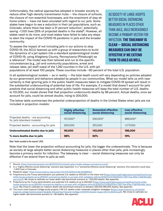Unfortunately, the radical approaches adopted in broader society to reduce other high-density transmission hubs — the closure of schools, the closure of non-essential businesses, and the enactment of stay-athome orders — have not been emulated with regard to our jails. Some states have begun to see a reduction in their jail populations, such as Colorado, where there has been a 31 percent reduction<sup>7</sup>, potentially saving  $~1,100$  lives (25% of projected deaths in the state)<sup>8</sup>. However, all states need to do more, and most states have failed to take any steps to stem the impact of the COVID-19 pandemic in jails and the broader community.

To assess the impact of not including jails in our actions to stop COVID-19, the ACLU teamed up with a group of researchers to build the dynamics of a jail system into a standard epidemiological model of COVID-19, using Allegheny County, Pennsylvania (Pittsburgh) as a reference<sup>9</sup>. The model was then tailored and run to the specific circumstances (e.g., jail and community populations, arrest and release rates, jail staff sizes) of the 1,242 counties in the U.S. with jail

AS SOCIETY AT LARGE ADOPTS BETTER SOCIAL DISTANCING MEASURES IN PLACES OTHER THAN JAILS, JAILS INCREASINGLY BECOME A PRIMARY VECTOR FOR INFECTION. **THE TAKEAWAY IS CLEAR — SOCIAL DISTANCING MEASURES CAN ONLY BE EFFECTIVE IF WE EXTEND THEM TO JAILS AS WELL.**

populations of at least 100 people. These counties include ~90 percent of the total U.S. population.

In all epidemiological models — as in reality — the total death count will vary depending on policies adopted by our government and behaviors adopted by people in our communities. What our model tells us with near certainty is that ignoring jails in the public health measures taken to mitigate COVID-19 spread will result in the substantial undercounting of potential loss of life. For example, if a model that doesn't account for jails predicts that social distancing and other public health measures will keep the total number of U.S. deaths to 101,000, our model shows that that projection undercounts deaths by 98 percent. Actual deaths, once we account for jails, could be almost double, rising to 200,000.

The below table summarizes the potential underprojection of deaths in the United States when jails are not included in projection models:

|                                                                  | <b>Highly effective</b><br>social distancing | <b>Somewhat effective</b><br>social distancing | <b>Less effective</b><br>social distancing |
|------------------------------------------------------------------|----------------------------------------------|------------------------------------------------|--------------------------------------------|
| Projected deaths - not accounting<br>for jails (standard models) | 101,000 <sup>10</sup>                        | 230,00011                                      | 989,000 <sup>12</sup>                      |
| Projected deaths - accounting for jails                          | 200,000                                      | 372,000                                        | 1,177,000                                  |
| Underestimated deaths due to jails                               | 99,000                                       | 142,000                                        | 188,000                                    |
| % more deaths due to jails                                       | 98%                                          | 62%                                            | 19%                                        |

Note: Totals rounded to the nearest 1,000.

Note that the lower the projection without accounting for jails, the bigger the underestimate. This is because as society at large adopts better social distancing measures in places other than jails, jails increasingly become a primary vector for infection. The takeaway is clear — social distancing measures can only be effective if we extend them to jails as well.

7 Source: <https://www.denverpost.com/2020/04/01/colorado-jails-inmate-release-coronavirus-covid/>

9 Research paper: <https://www.medrxiv.org/content/10.1101/2020.04.08.20058842v1>

<sup>12</sup> The much-cited Imperial College study projects 1.1M U.S. deaths under moderate mitigation strategies ([https://www.imperial.ac.uk/media/](https://www.imperial.ac.uk/media/imperial-college/medicine/sph/ide/gida-fellowships/Imperial-College-COVID19-Global-Impact-26-03-2020v2.pdf) [imperial-college/medicine/sph/ide/gida-fellowships/Imperial-College-COVID19-Global-Impact-26-03-2020v2.pdf\)](https://www.imperial.ac.uk/media/imperial-college/medicine/sph/ide/gida-fellowships/Imperial-College-COVID19-Global-Impact-26-03-2020v2.pdf). We chose to calibrate our higher-death rate benchmark scenario to ~1M deaths. See appendix.



<sup>8</sup> In a "highly effective social distancing" scenario (see Appendix). In a "somewhat effective social distancing" scenario, this reduction could save ~1,500 lives in Colorado.

<sup>10</sup> Projections by the Trump administration put potential U.S. deaths at 100,000 on the lower end ([https://www.washingtonpost.com/politics/trump](https://www.washingtonpost.com/politics/trump-white-house-projects-up-to-240000-coronavirus-deaths-in-us-even-with-mitigation-efforts/2020/03/31/62df5344-7367-11ea-87da-77a8136c1a6d_story.html)[white-house-projects-up-to-240000-coronavirus-deaths-in-us-even-with-mitigation-efforts/2020/03/31/62df5344-7367-11ea-87da-77a8136c1a6d\\_](https://www.washingtonpost.com/politics/trump-white-house-projects-up-to-240000-coronavirus-deaths-in-us-even-with-mitigation-efforts/2020/03/31/62df5344-7367-11ea-87da-77a8136c1a6d_story.html) [story.html](https://www.washingtonpost.com/politics/trump-white-house-projects-up-to-240000-coronavirus-deaths-in-us-even-with-mitigation-efforts/2020/03/31/62df5344-7367-11ea-87da-77a8136c1a6d_story.html)). We chose to calibrate our lower-death rate benchmark scenario to ~100,000 deaths. See appendix.

<sup>11</sup> Projections by the Trump administration put potential U.S. deaths at up to 240,000 [\(https://www.washingtonpost.com/politics/trump-white](https://www.washingtonpost.com/politics/trump-white-house-projects-up-to-240000-coronavirus-deaths-in-us-even-with-mitigation-efforts/2020/03/31/62df5344-7367-11ea-87da-77a8136c1a6d_story.html)[house-projects-up-to-240000-coronavirus-deaths-in-us-even-with-mitigation-efforts/2020/03/31/62df5344-7367-11ea-87da-77a8136c1a6d\\_story.](https://www.washingtonpost.com/politics/trump-white-house-projects-up-to-240000-coronavirus-deaths-in-us-even-with-mitigation-efforts/2020/03/31/62df5344-7367-11ea-87da-77a8136c1a6d_story.html) [html\)](https://www.washingtonpost.com/politics/trump-white-house-projects-up-to-240000-coronavirus-deaths-in-us-even-with-mitigation-efforts/2020/03/31/62df5344-7367-11ea-87da-77a8136c1a6d_story.html). We chose to calibrate our medium-death rate benchmark scenario to between 220,000-260,000 deaths. See appendix.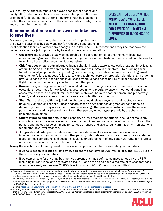While terrifying, these numbers don't even account for prisons and immigration detention centers, whose incarcerated populations are often held for longer periods of time<sup>13</sup>. Reforms must be enacted to flatten the infection curve and curb the infection rates in jails, prisons, and surrounding communities.

#### **Recommendations: actions we can take now to save lives**

Governors, judges, prosecutors, sheriffs, and chiefs of police have the power to save lives by safely and swiftly reducing populations in

EVERY DAY THAT GOES BY WITHOUT ACTION MEANS MORE PEOPLE WILL DIE. **DELAYING ACTION FOR A WEEK COULD MEAN A DIFFERENCE OF 5,000-18,000 LIVES.**

local detention facilities, without any changes in the law. The ACLU recommends they use that power to immediately reduce jail populations by following these recommendations:

- **Governors** must provide statewide leadership and coordination, directing the many local law enforcement agencies in their state to work together in a unified fashion to reduce jail populations by following all the policy recommendations below.
- **Chief justices** or state administrative judges should likewise exercise statewide leadership by issuing orders, bringing a uniform approach to the hundreds of judges in their state — by directing them to reduce local jail populations by voiding or suspending, on a statewide basis, outstanding arrest warrants for failure to appear, failure to pay, and technical parole or probation violations; and ordering pretrial release without conditions in all cases where release poses no risk of imminent and willful flight or imminent serious physical harm to another person.
- **Prosecutors,** as the gatekeepers of the local criminal justice system, should decline to prosecute custodial arrests made for low-level charges, recommend pretrial release without conditions in all cases where there is no risk of imminent serious physical harm to another person, and proactively identify and release anyone currently incarcerated who fits this criterion.
- **Sheriffs,** in their capacities as jail administrators, should release anyone in their custody who is uniquely vulnerable to serious illness or death based on age or underlying medical conditions, as defined by the CDC; they also should consider releasing other people in custody where the release poses no risk of serious physical harm to another person, including people held by the sheriff on immigration detainers.
- **Chiefs of police and sheriffs,** in their capacity as law enforcement officers, should not make any custodial arrests unless necessary to prevent an imminent and serious risk of bodily harm to another person, and instead issue summons for serious offenses and give verbal warnings or written citations for all other low-level offenses.
- **Judges** should order pretrial release without conditions in all cases where there is no risk of imminent serious physical harm to another person, order release of anyone currently incarcerated not meeting those conditions, and suspend issuance or enforcement of any bench warrants for failure to appear or technical parole or probation violations.

Taking these actions will directly result in lives saved in jails and in their surrounding communities.

- If we take action to reduce arrests by 50 percent, we can save 12,000 lives in jails, and 47,000 lives in the surrounding communities<sup>14</sup>.
- If we stop arrests for anything but the five percent of crimes defined as most serious by the FBI<sup>15</sup>  $$ including murder, rape, and aggravated assault — and are able to double the rate of release for those already detained, we can save  $23,000$  lives in jails, and 76,000 lives in communities<sup>16</sup>.

<sup>16</sup> In a "highly effective social distancing" scenario, in which a model that doesn't account for jails would project 101,000 total deaths, while a model that incorporates jail dynamics will project 200,000 deaths. In a "somewhat effective social distancing" scenario, we can save 23,000 lives in jails, and 120,000 lives in communities.



<sup>13</sup> Given the different nature of incarceration in prisons and immigration detention centers, separate mathematical models for the spread of COVID-19 and the resultant mortality rates in those facilities and surrounding communities must be commissioned and undertaken. Given the revolving door of incarceration through our nation's jails, the spread and impact may indeed be greatest here.

<sup>14</sup> In a "highly effective social distancing" scenario, in which a model that doesn't account for jails would project 101,000 total deaths, while a model that incorporates jail dynamics will project 200,000 deaths. In a "somewhat effective social distancing" scenario, we can save 12,000 lives in jails, and 70,000 lives in communities.

<sup>15</sup> Source: <https://ucr.fbi.gov/crime-in-the-u.s/2018/crime-in-the-u.s.-2018/topic-pages/persons-arrested>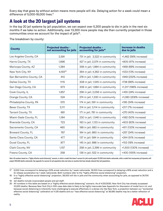Every day that goes by without action means more people will die. Delaying action for a week could mean a difference of 5,000-18,000 lives.17

# **A look at the 20 largest jail systems**

In the top 20 jail systems by jail population, we can expect over 5,300 people to die in jails in the next six months if we take no action. Additionally, over 13,300 more people may die than currently projected in those communities once we account for the impact of jails<sup>18</sup>.

|  |  | The breakdown by county: |
|--|--|--------------------------|
|  |  |                          |

| <b>County</b>             | <b>Projected deaths -</b><br>not accounting for jails | <b>Projected deaths -</b><br>accounting for jails <sup>19</sup> | <b>Increase in deaths</b><br>due to jails |
|---------------------------|-------------------------------------------------------|-----------------------------------------------------------------|-------------------------------------------|
| Los Angeles County, CA    | 2,591                                                 | 731 in jail; 3,322 in community                                 | +1,462 (56% increase)                     |
| Harris County, TX         | 1,696                                                 | 427 in jail; 2,074 in community                                 | +805 (47% increase)                       |
| Maricopa County, AZ       | 1,384                                                 | 358 in jail; 1,984 in community                                 | +958 (69% increase)                       |
| New York City, NY         | 4,19320                                               | 364 in jail; 4,362 in community                                 | +533 (13% increase)                       |
| San Bernardino County, CA | 410                                                   | 278 in jail; 1,080 in community                                 | +949 (232% increase)                      |
| Dallas County, TX         | 1115                                                  | 308 in jail; 1,545 in community                                 | +738 (66% increase)                       |
| San Diego County, CA      | 673                                                   | 306 in jail; 1,684 in community                                 | +1,317 (196% increase)                    |
| Cook County, IL           | 1,857                                                 | 256 in jail; 2,056 in community                                 | +455 (24% increase)                       |
| Orange County, CA         | 524                                                   | 274 in jail; 1,330 in community                                 | +1,080 (206% increase)                    |
| Philadelphia County, PA   | 570                                                   | 174 in jail; 591 in community                                   | +195 (34% increase)                       |
| Bexar County, TX          | 3,111                                                 | 214 in jail; 3,114 in community                                 | +217 (7% increase)                        |
| Tarrant County, TX        | 681                                                   | 171 in jail; 781 in community                                   | +270 (40% increase)                       |
| Miami-Dade County, FL     | 1,184                                                 | 230 in jail; 1,546 in community                                 | +592 (50% increase)                       |
| Riverside County, CA      | 723                                                   | 193 in jail; 1,133 in community                                 | +603 (83% increase)                       |
| Sacramento County, CA     | 460                                                   | 188 in jail; 883 in community                                   | +611 (133% increase)                      |
| Broward County, FL        | 767                                                   | 164 in jail; 860 in community                                   | +257 (34% increase)                       |
| Santa Clara County, CA    | 477                                                   | 137 in jail; 584 in community                                   | +244 (51% increase)                       |
| Duval County, FL          | 877                                                   | 145 in jail; 886 in community                                   | +153 (18% increase)                       |
| Clark County, NV          | 1,157                                                 | 258 in jail; 2,399 in community                                 | +1,500 (130% increase)                    |
| Fresno County, CA         | 258                                                   | 136 in jail; 522 in community                                   | +400 (155% increase)                      |

Note: All numbers based on a "highly effective social distancing" scenario, in which a model that doesn't account for jails would project 101,000 total deaths nationwide, while a model that incorporates jail dynamics will project 200,000 deaths nationwide. See appendix for sources for jail population data and notes on counties that have already reduced their jail populations.

19 Jail deaths include incarcerated people and jail staff.

<sup>20</sup> All numbers in this table are based on a "highly effective social distancing" scenario. As of 4/20/2020, New York City has already surpassed 10,000 deaths. Because New York City's 10th case date data is likely to be highly inaccurate (see Appendix for discussion of model burn-in), and because social distancing is inherently more challenging to execute effectively in a dense city like New York, a projection between our "somewhat effective social distancing" calibration at 11,125 deaths and our "less effective social distancing" at 38,580 deaths may be a better reflection of reality.



<sup>17</sup> 5,000 lives correspond to delaying a 50% arrest reduction by 1 week nationwide. 18,000 lives correspond to delaying a 95% arrest reduction and a 2x release acceleration by 1 week nationwide. Both numbers refer to the "highly effective social distancing" projection.

<sup>18</sup> In a "highly effective social distancing" projection, 38,000 will die in jails and the community when accounting for jails, as opposed to 24,700 without.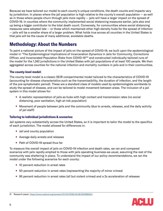Because we have tailored our model to each county's unique conditions, the death counts and impacts vary by jurisdiction. In places where the jail population is high relative to the county's overall population — as well as in those where people churn through jails more rapidly — jails will have a larger impact on the spread of COVID-19. In counties where the community implemented social distancing measures earlier, jails also end up being a bigger contributor to the total death count. Conversely, for communities where social distancing measures were adopted late — or those which maintained other high-density hubs for the spread of infection — jails will be a smaller share of a larger problem. What holds true across all counties in the United States is that jails will be the cause of many additional, avoidable deaths.

### **Methodology: About the Numbers**

To paint a national picture of the impact of jails on the spread of COVID-19, we built upon the epidemiological model in "The Epidemiological Implications of Incarceration Dynamics in Jails for Community, Corrections Officer, and Incarcerated Population Risks from COVID-19"21 and constructed individually-tailored runs of the model for the 1,242 jurisdictions in the United States with jail populations of at least 100 people. We then aggregated across counties for the national infection and mortality numbers in jails and in their communities.

#### **The county-level model:**

The county-level model is a classic SEIR compartmental model tailored to the characteristics of COVID-19 (accounting for disease characteristics such as the transmissibility, the duration of infection, and the length of the pre-symptomatic period). These are a standard class of models used by epidemiologists worldwide to study the spread of disease, and can be tailored to model movement between areas. The inclusion of a jail system in this model allows for:

- A realistic representation of jails as hubs with high contact and transmission rates (no social distancing, poor sanitation, high at-risk population)
- Movement of people between jails and the community (due to arrests, releases, and the daily activity of jail staff)

#### **Tailoring to individual jurisdictions & scenarios:**

Jail systems vary substantially across the United States, so it is important to tailor the model to the specifics of each jurisdiction. The model allowed for differences in:

- Jail and county population
- Average daily arrests and releases
- Path of COVID-19 spread thus far

To measure the overall impact of jails on COVID-19 infection and death rates, we ran and compared scenarios with jails rapidly emptied to those with jails operating business-as-usual, assuming the rest of the community was sheltering in place. To understand the impact of our policy recommendations, we ran the model under the following scenarios for each county:

- 10 percent reduction in arrest rates
- 50 percent reduction in arrest rates (representing the majority of minor crimes)
- 95 percent reduction in arrest rates (all but violent crimes) and a 2x acceleration of releases



<sup>21</sup> Research paper:<https://www.medrxiv.org/content/10.1101/2020.04.08.20058842v1>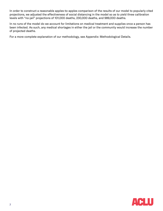In order to construct a reasonable apples-to-apples comparison of the results of our model to popularly cited projections, we adjusted the effectiveness of social distancing in the model so as to yield three calibration levels with "no-jail" projections of 101,000 deaths, 230,000 deaths, and 989,000 deaths.

In no runs of the model do we account for limitations on medical treatment and supplies once a person has been infected. As such, any medical shortages in either the jail or the community would increase the number of projected deaths.

For a more complete explanation of our methodology, see Appendix: Methodological Details.

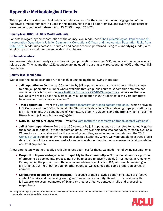# **Appendix: Methodological Details**

This appendix provides technical details and data sources for the construction and aggregation of the nationwide impact numbers included in this report. Note that all data from live and evolving data sources were queried / gathered between April 13, 2020 to April 17, 2020.

#### **County-level COVID-19 SEIR Model with Jails**

For details regarding the construction of the county-level model, see "The Epidemiological Implications of [Incarceration Dynamics in Jails for Community, Corrections Officer, and Incarcerated Population Risks from](https://www.medrxiv.org/content/10.1101/2020.04.08.20058842v1)  [COVID-19"](https://www.medrxiv.org/content/10.1101/2020.04.08.20058842v1). Model runs across all counties and scenarios were performed using this underlying model, with varying input data and parameters as described below.

#### **Excluded counties**

We have excluded in our analysis counties with jail populations less than 100, and any with no admissions or release data. This means that 1,242 counties are included in our analysis, representing ~90% of the total U.S. population.

#### **County-level input data**

We tailored the model scenarios run for each county using the following input data:

- **Jail population —** For the top 50 counties by jail population, we manually gathered the most upto-date jail population number where available through public sources. Where this data was not available, we relied upon the [Vera Institute for Justice COVID-19 project data.](https://www.vera.org/projects/covid-19-criminal-justice-responses/covid-19-data) Where neither was available, we relied upon the average daily jail population in 2017, reported in the Vera Institute's [Incarceration trends dataset version 2.1.](https://github.com/vera-institute/incarceration_trends/commit/068d19a37cf2e503feae28b26df51f238027445b)
- **Total population —** from the Vera Institute's [Incarceration trends dataset version 2.1](https://github.com/vera-institute/incarceration_trends/commit/068d19a37cf2e503feae28b26df51f238027445b), which draws on U.S. Census and the CDC's National Vital Statistics System Data. This dataset groups populations by jail — for example, the populations of Manhattan, Brooklyn, Queens, and the Bronx, which all use the Rikers Island jail complex, are aggregated.
- **Daily jail admit & release rates —** from the Vera Institute's [Incarceration trends dataset version 2.1.](https://github.com/vera-institute/incarceration_trends/commit/068d19a37cf2e503feae28b26df51f238027445b)
- **Jail officer population —** For the top 50 counties by jail population, we attempted to manually gather the most up-to-date jail officer population data. However, this data was not typically readily available. Where it was unavailable and for the remaining counties, we relied upon the data from the [2013](https://www.icpsr.umich.edu/icpsrweb/NACJD/studies/36128/variables)  [Census of Jails](https://www.icpsr.umich.edu/icpsrweb/NACJD/studies/36128/variables) published by the Bureau of Justice Statistics. Where we were unable to extract a jail's data in either of the above, we used a k-nearest-neighbour imputation on average daily jail population and total population.

A few parameters were not readily available across counties; for these, we made the following assumptions:

- **Proportion in processing who return quickly to the community —** Our model allows for a portion of arrests to be booked into processing, but be released relatively quickly (in 12 hours). In Allegheny, Pennsylvania, the proportion of those who are released quickly is ~60%, with ~40% remaining in jail for longer. Without better data on other counties, we assumed the same proportion across all counties.
- **Mixing rates in jails and in processing —** Because of their crowded conditions, rates of effective contact<sup>22</sup> in jails and processing are higher than in the community. Based on discussions with jail experts, we assumed factors of 3x and 6x greater effective contact in jails and processing, respectively.

<sup>22</sup> In epidemiological models, "effective contact" is any kind of contact between two individuals that is sufficient to transmit an infection if one person is susceptible and the other is infected.

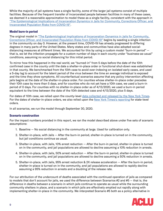While the majority of jail systems have a single facility, some of the larger jail systems consist of multiple facilities. Because of the frequent transfer of incarcerated people between facilities in many of these cases, we deemed it a reasonable approximation to model these as a single facility, consistent with the approach in ["The Epidemiological Implications of Incarceration Dynamics in Jails for Community, Corrections Officer, and](https://www.medrxiv.org/content/10.1101/2020.04.08.20058842v1)  [Incarcerated Population Risks from COVID-19".](https://www.medrxiv.org/content/10.1101/2020.04.08.20058842v1)

#### **Model burn-in period**

The original model in ["The Epidemiological Implications of Incarceration Dynamics in Jails for Community,](https://www.medrxiv.org/content/10.1101/2020.04.08.20058842v1)  [Corrections Officer, and Incarcerated Population Risks from COVID-19"](https://www.medrxiv.org/content/10.1101/2020.04.08.20058842v1) begins by seeding a single infection in the community on day 0. However, at the present time, COVID-19 has already progressed to differing degrees in many parts of the United States. Many states and communities have also adopted socialdistancing measures at different times. We accounted for this by using a custom model "burn-in period"  $$ that is, we let the infection propagate for a custom number of days in each county under "business-as-usual" conditions, assuming no social distancing for this initial period.

To mirror how this happened in the real world, we "burned-in" from 5 days before the date of the 10th confirmed case in the county until the date a shelter-in-place order or functional shut-down was established in that county. We benchmarked from the 10th case to avoid over-indexing on isolated early cases, and used a 5-day lag to account for the latent period of the virus between the time an average individual is exposed and the time they show symptoms. All counterfactual scenarios assume that any policy intervention affecting jails begins at the date of the shelter-in-place order. For counties whose shelter-in-place order precedes their 10th case by more than 5 days, and for counties who do not yet have a 10th case, we used a burn-in period of 0 days. For counties with no shelter-in-place order as of 4/13/2020, we used a burn-in period equivalent to the time between the date of the 10th detected case and 4/13/2020, plus 5 days.

For dates of 10th case, we relied upon the county-level [data collected and released by the New York Times.](https://raw.githubusercontent.com/nytimes/covid-19-data/master/us-counties.csv) For the dates of shelter-in-place orders, we also relied upon the [New York Times's reporting](https://www.nytimes.com/interactive/2020/us/coronavirus-stay-at-home-order.html) for state-level orders.

In all scenarios, we run the model through September 30, 2020.

#### **Scenario construction**

For the impact numbers provided in this report, we ran the model described above under five sets of scenario assumptions:

- 1. Baseline No social distancing in the community at large. Used for calibration only.
- 2. Shelter-in-place, with Jails After the burn-in period, shelter-in-place is turned on in the community, but jail conditions continue as usual.
- 3. Shelter-in-place, with Jails, 10% arrest reduction After the burn-in period, shelter-in-place is turned on in the community, and jail populations are allowed to decline assuming a 10% reduction in arrests.
- 4. Shelter-in-place, with Jails, 50% arrest reduction After the burn-in period, shelter-in-place is turned on in the community, and jail populations are allowed to decline assuming a 50% reduction in arrests.
- 5. Shelter-in-place, with Jails, 95% arrest reduction & 2X release acceleration After the burn-in period, shelter-in-place is turned on in the community, and jail populations are allowed to rapidly decline assuming a 95% reduction in arrests and a doubling of the release rate.

For our attribution of the undercount of deaths associated with the continued operation of jails as compared to models that don't account for jails, we used the difference between Scenarios #2 and #5 — that is, the difference in deaths between a scenario in which jails continue to operate as usual while the surrounding community shelters in place, and a scenario in which jails are effectively emptied out rapidly along with implementing shelter-in-place in the community. We interpreted Scenario #5 both as a policy alternative in

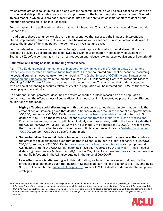which strong action is taken in the jails along with in the communities, as well as as a baseline which we tie to other available public models for comparison purposes. In the latter interpretation, we can read Scenario #5 as a model in which jails are not properly accounted for or don't exist as major centers of density and infection transmission (a "no jails" scenario).

For the impact of the policy interventions that lead to Scenarios #3 and #4, we again used differences with Scenario #2.

In addition to these scenarios, we also ran similar scenarios that assessed the impact of interventions already implemented (such as in Colorado — see below), as well as scenarios in which action is delayed, to assess the impact of delaying policy interventions on lives lost and saved.

For the delayed action scenario, we used a 2-stage burn-in approach in which the 1st stage follows the procedure previously described, and is followed by seven days of shelter-in-place only (equivalent of Scenario #2), before continuing with an arrest reduction and release rate increase (equivalent of Scenario #5).

#### **Calibration and tuning of social distancing effectiveness**

As in ["The Epidemiological Implications of Incarceration Dynamics in Jails for Community, Corrections](https://www.medrxiv.org/content/10.1101/2020.04.08.20058842v1)  [Officer, and Incarcerated Population Risks from COVID-19"](https://www.medrxiv.org/content/10.1101/2020.04.08.20058842v1), we calibrated our baseline scenario (assuming no social distancing measures taken) to the model in "The Global Impact of COVID-19 and Strategies for [Mitigation and Suppression"](https://www.imperial.ac.uk/media/imperial-college/medicine/sph/ide/gida-fellowships/Imperial-College-COVID19-Global-Impact-26-03-2020v2.pdf) from the Imperial College / WHO Collaborating Centre for Infectious Disease Modeling / MRC Centre / Abdul Latif Jameel Institute consortium. This assumes that under a scenario with no social distancing measures taken, 76.7% of the population will be infected and ~1-2% of those who develop symptoms will die.

An additional model parameter describes the effect of shelter-in-place measures on the population contact rate, i.e., the effectiveness of social distancing measures. In this report, we present three different calibrations of the model:

- 1. **Highly effective social distancing —** In this calibration, we tuned the parameter that controls the effect of social distancing such that deaths in Scenario #5 (our "no jails" scenario) are approximately 100,000, landing at ~101,000. Earlier [projections by the Trump administration](https://www.washingtonpost.com/politics/trump-white-house-projects-up-to-240000-coronavirus-deaths-in-us-even-with-mitigation-efforts/2020/03/31/62df5344-7367-11ea-87da-77a8136c1a6d_story.html) put potential U.S. deaths at 100,000 on the lower end. Recent projections from the Institute for Health Metrics and [Evaluation](https://covid19.healthdata.org/united-states-of-america) are among the most optimistic of widely cited projections, putting the likely total deaths in the U.S. at ~69,000 by August 1, 2020 (we run our model until September 30, 2020). In recent days, the Trump administration has also moved to an optimistic estimate of deaths "substantially under" [100,000.](https://www.cnbc.com/2020/04/10/trump-says-us-will-have-substantially-under-100000-deaths-from-coronavirus-lower-than-initial-estimates.html) We took 100,000 as a useful benchmark.
- 2. **Somewhat effective social distancing —** In this calibration, we tuned the parameter that controls the effect of social distancing such that deaths in Scenario #5 (our "no jails" scenario) are 220,000- 260,000, landing at ~230,000. Earlier [projections by the Trump administration](https://www.washingtonpost.com/politics/trump-white-house-projects-up-to-240000-coronavirus-deaths-in-us-even-with-mitigation-efforts/2020/03/31/62df5344-7367-11ea-87da-77a8136c1a6d_story.html) also put potential U.S. deaths at up to 240,000. Similar estimates have been reported by the [New York Times](https://www.nytimes.com/reuters/2020/04/10/us/10reuters-health-coronavirus-usa-projections.html) if social distancing measures are (at least partially) lifted in May. A back-of-the-envelope calculation based on annual flu infections in the U.S. also puts us in the range of 260,00023.
- 3. **Less effective social distancing —** In this calibration, we tuned the parameter that controls the effect of social distancing such that deaths in Scenario #5 (our "no jails" scenario) are ~1M, landing at 989,000. The much-cited [Imperial College study](https://www.imperial.ac.uk/media/imperial-college/medicine/sph/ide/gida-fellowships/Imperial-College-COVID19-Global-Impact-26-03-2020v2.pdf) projects 1.1M U.S. deaths under moderate mitigation strategies.

<sup>23</sup> In a normal, non-pandemic year, influenza causes symptomatic infection in about 7-8% of the U.S. population (~330mil), or ~25M symptomatic infections. Some of the country is immune to circulating annual flu strains; without immunity, there might be ~1.5x as many infections. In addition, COVID-19 may be about twice as infectious, bringing us to ~74M infections under a no-social distancing scenario. With social distancing bringing that down by 1/2, we might estimate 37M infections overall. Applying a 0.7% case fatality rate as measured in Wuhan brings us to ~260,000 deaths.

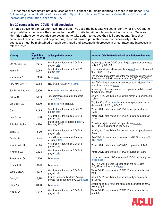All other model parameters not discussed above are chosen to remain identical to those in the paper "The [Epidemiological Implications of Incarceration Dynamics in Jails for Community, Corrections Officer, and](https://www.medrxiv.org/content/10.1101/2020.04.08.20058842v1)  [Incarcerated Population Risks from COVID-19".](https://www.medrxiv.org/content/10.1101/2020.04.08.20058842v1)

#### **Top 20 counties by pre-COVID-19 jail population**

As noted above, under "County-level input data," we used the best data we could identify for pre-COVID-19 jail populations. Below are the sources for the 20 top jails by jail population listed in the report. We also identified where some counties are beginning to take action to reduce their jail populations. Note that because of rapid churn in jail populations, reported current populations are not necessarily stable decreases must be maintained through continued and systematic decreases in arrest rates and increases in release rates.

| <b>County</b>      | <b>Jail</b><br>population<br>(pre-COVID) | <b>Jail population source</b>                                                 | <b>Notes on COVID-19-related jail population reductions</b>                                                               |
|--------------------|------------------------------------------|-------------------------------------------------------------------------------|---------------------------------------------------------------------------------------------------------------------------|
| Los Angeles, CA    | 17,076                                   | Vera Institute for Justice COVID-19<br>project data                           | According to Vera's COVID data, the jail population decreased<br>to 12,362 by 4/15/20.                                    |
| Harris, TX         | 9,059                                    | Vera Institute for Justice COVID-19<br>project data                           | The Harris Jail publishes a population count, which decreased<br>to 7,479 by 4/14/20.                                     |
| Maricopa, AZ       | 7,100                                    | Local news                                                                    | The news source quotes a sheriff's spokesperson announcing<br>the reduction of the inmate population to 5,785 by 4/10/20. |
| New York City, NY  | 6,988                                    | NYC DOC FY 2020 "At a Glance"                                                 | By 4/6/20, the jail population decreased to 4,363, according<br>to a City of New York report.                             |
| San Bernardino, CA | 6,200                                    | Local news interview with sheriff                                             | According to the same source, the population had decreased<br>to 5,500 by 3/25/20.                                        |
| Dallas, TX         | 5,879                                    | Texas Commission on Jail Standard<br>$3/1/20$ report                          | As of 4/14/20, we did not find a more recent jail population for<br>Dallas.                                               |
| San Diego, CA      | 5,600                                    | Local news from late 2019                                                     | The Sheriff's office publishes the inmate population, which<br>decreased to 4,363 by 4/14/20.                             |
| Cook, IL           | 5,555                                    | Vera Institute for Justice COVID-19<br>project data                           | Vera's COVID data shows a 4/16/20 inmate population of<br>4,322.                                                          |
| Orange, CA         | 5,280                                    | Vera Institute for Justice COVID-19<br>project data                           | Vera's COVID data shows a 4/16/2020 inmate population of<br>3.315.                                                        |
| Philadelphia, PA   | 4.780                                    | Philadelphia Jail Population Report,<br>February 2020.                        | Philadelphia jails publish daily population updates.<br>By $4/13/20$ , the population was $4,087$ .                       |
| Bexar, TX          | 4,120                                    | Vera Institute for Justice COVID-19<br>project data                           | As of 4/14/20, we did not find a more recent jail population for<br>Bexar.                                                |
| Tarrant, TX        | 4,102                                    | Texas Commission on Jail Standard<br>3/1/20 report                            | By 4/6/20, the number had decreased to 3,379, according to<br>local news.                                                 |
| Miami-Dade, FL     | 4,034                                    | Vera Institute for Justice COVID-19<br>project data                           | Vera's COVID data shows a 4/3/2020 population of 3,400.                                                                   |
| Riverside, CA      | 3,828                                    | Vera Institute for Justice COVID-19<br>project data                           | Vera's COVID data shows a 4/16/20 population of 3,377.                                                                    |
| Sacramento, CA     | 3,700                                    | Local news                                                                    | The sheriff released 421 inmates on 3/25/20, according to a<br>press release.                                             |
| Broward, FL        | 3,591                                    | Local news                                                                    | By 4/7/20, the Broward jail population had decreased<br>to 3,164, according to local news                                 |
| Santa Clara, CA    | 3,219                                    | Vera Institute for Justice COVID-19<br>project data                           | Vera's COVID data shows a 4/15/2020 inmate population of<br>2,391.                                                        |
| Duval, FL          | 3,211                                    | Florida Detention Facilities Average<br>Inmate Population January 2020 Report | As of 4/14/20, we did not find an updated jail population<br>for Duval.                                                   |
| Clark, NV          | 3,100                                    | Local news                                                                    | According to local news, the population decreased to 2,900<br>by early April.                                             |
| Fresno, CA         | 3,079                                    | Vera Institute for Justice COVID-19<br>project data                           | Vera's COVID data shows a 4/15/2020 inmate population<br>of 2,498.                                                        |